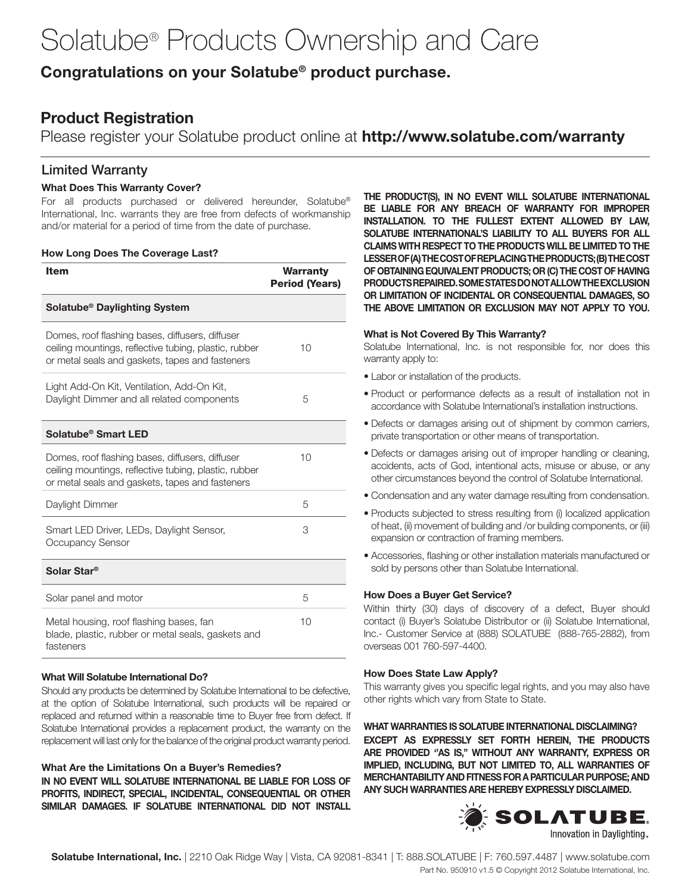# Solatube® Products Ownership and Care

# Congratulations on your Solatube® product purchase.

# Product Registration

Please register your Solatube product online at http://www.solatube.com/warranty

## Limited Warranty

#### What Does This Warranty Cover?

For all products purchased or delivered hereunder, Solatube® International, Inc. warrants they are free from defects of workmanship and/or material for a period of time from the date of purchase.

#### How Long Does The Coverage Last?

| Item                                                                                                                                                        | <b>Warranty</b><br><b>Period (Years)</b> |
|-------------------------------------------------------------------------------------------------------------------------------------------------------------|------------------------------------------|
| Solatube <sup>®</sup> Daylighting System                                                                                                                    |                                          |
| Domes, roof flashing bases, diffusers, diffuser<br>ceiling mountings, reflective tubing, plastic, rubber<br>or metal seals and gaskets, tapes and fasteners | 10                                       |
| Light Add-On Kit, Ventilation, Add-On Kit,<br>Daylight Dimmer and all related components                                                                    | 5                                        |
| Solatube <sup>®</sup> Smart LED                                                                                                                             |                                          |
| Domes, roof flashing bases, diffusers, diffuser<br>ceiling mountings, reflective tubing, plastic, rubber<br>or metal seals and gaskets, tapes and fasteners | 10                                       |
| Daylight Dimmer                                                                                                                                             | 5                                        |
| Smart LED Driver, LEDs, Daylight Sensor,<br>Occupancy Sensor                                                                                                | 3                                        |
| Solar Star <sup>®</sup>                                                                                                                                     |                                          |
| Solar panel and motor                                                                                                                                       | 5                                        |
| Metal housing, roof flashing bases, fan<br>blade, plastic, rubber or metal seals, gaskets and<br>fasteners                                                  | 10                                       |

#### What Will Solatube International Do?

Should any products be determined by Solatube International to be defective, at the option of Solatube International, such products will be repaired or replaced and returned within a reasonable time to Buyer free from defect. If Solatube International provides a replacement product, the warranty on the replacement will last only for the balance of the original product warranty period.

What Are the Limitations On a Buyer's Remedies? IN NO EVENT WILL SOLATUBE INTERNATIONAL BE LIABLE FOR LOSS OF PROFITS, INDIRECT, SPECIAL, INCIDENTAL, CONSEQUENTIAL OR OTHER SIMILAR DAMAGES. IF SOLATUBE INTERNATIONAL DID NOT INSTALL THE PRODUCT(S), IN NO EVENT WILL SOLATUBE INTERNATIONAL BE LIABLE FOR ANY BREACH OF WARRANTY FOR IMPROPER INSTALLATION. TO THE FULLEST EXTENT ALLOWED BY LAW, SOLATUBE INTERNATIONAL'S LIABILITY TO ALL BUYERS FOR ALL CLAIMS WITH RESPECT TO THE PRODUCTS WILL BE LIMITED TO THE LESSER OF (A) THE COST OF REPLACING THE PRODUCTS; (B) THE COST OF OBTAINING EQUIVALENT PRODUCTS; OR (C) THE COST OF HAVING PRODUCTS REPAIRED. SOME STATES DO NOT ALLOW THE EXCLUSION OR LIMITATION OF INCIDENTAL OR CONSEQUENTIAL DAMAGES, SO THE ABOVE LIMITATION OR EXCLUSION MAY NOT APPLY TO YOU.

#### What is Not Covered By This Warranty?

Solatube International, Inc. is not responsible for, nor does this warranty apply to:

- Labor or installation of the products.
- Product or performance defects as a result of installation not in accordance with Solatube International's installation instructions.
- Defects or damages arising out of shipment by common carriers, private transportation or other means of transportation.
- Defects or damages arising out of improper handling or cleaning, accidents, acts of God, intentional acts, misuse or abuse, or any other circumstances beyond the control of Solatube International.
- Condensation and any water damage resulting from condensation.
- Products subjected to stress resulting from (i) localized application of heat, (ii) movement of building and /or building components, or (iii) expansion or contraction of framing members.
- Accessories, flashing or other installation materials manufactured or sold by persons other than Solatube International.

#### How Does a Buyer Get Service?

Within thirty (30) days of discovery of a defect, Buyer should contact (i) Buyer's Solatube Distributor or (ii) Solatube International, Inc.- Customer Service at (888) SOLATUBE (888-765-2882), from overseas 001 760-597-4400.

#### How Does State Law Apply?

This warranty gives you specific legal rights, and you may also have other rights which vary from State to State.

WHAT WARRANTIES IS SOLATUBE INTERNATIONAL DISCLAIMING? EXCEPT AS EXPRESSLY SET FORTH HEREIN, THE PRODUCTS ARE PROVIDED ''AS IS," WITHOUT ANY WARRANTY, EXPRESS OR IMPLIED, INCLUDING, BUT NOT LIMITED TO, ALL WARRANTIES OF MERCHANTABILITY AND FITNESS FOR A PARTICULAR PURPOSE; AND ANY SUCH WARRANTIES ARE HEREBY EXPRESSLY DISCLAIMED.



Solatube International, Inc. | 2210 Oak Ridge Way | Vista, CA 92081-8341 | T: 888.SOLATUBE | F: 760.597.4487 | www.solatube.com Part No. 950910 v1.5 © Copyright 2012 Solatube International, Inc.